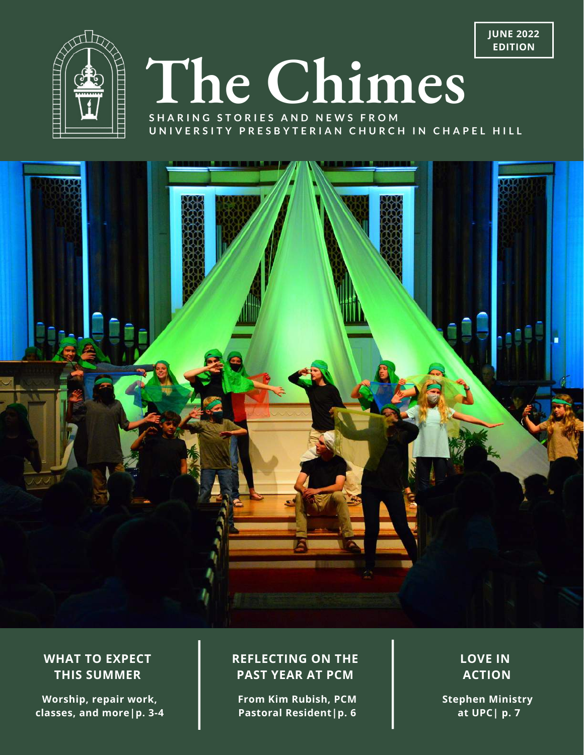



# **The Chimes**

**S H A R I N G S T O R I E S A N D N E W S F R O M** UNIVERSITY PRESBYTERIAN CHURCH IN CHAPEL HILL



#### **WHAT TO EXPECT THIS SUMMER**

**Worship, repair work, classes, and more|p. 3-4**

#### **REFLECTING ON THE PAST YEAR AT PCM**

**From Kim Rubish, PCM Pastoral Resident|p. 6**

**LOVE IN ACTION**

**Stephen Ministry at UPC| p. 7**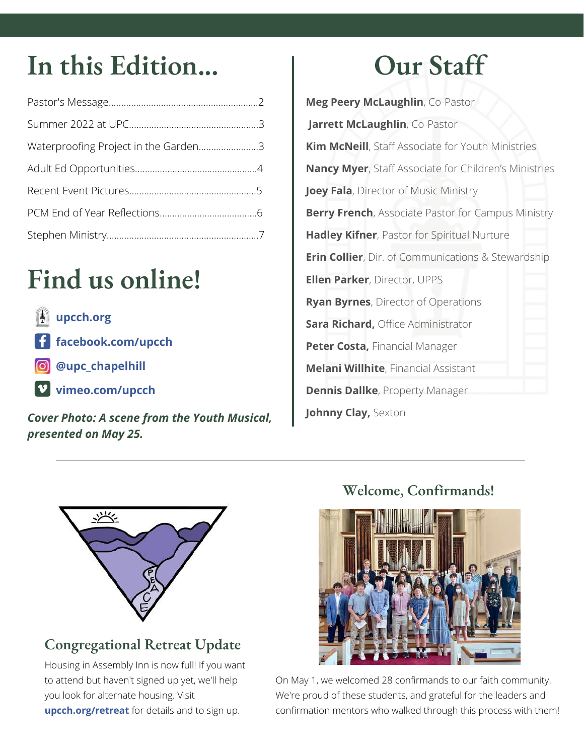### In this Edition... 1 Our Staff

| Waterproofing Project in the Garden3 |  |
|--------------------------------------|--|
|                                      |  |
|                                      |  |
|                                      |  |
|                                      |  |

## **Find us online!**

**[upcch.org](http://upcch.org/)**

**[facebook.com/upcch](http://facebook.com/upcch)**

- **@** [@upc\\_chapelhill](http://instagram.com/upc_chapelhill)
	- **[vimeo.com/upcch](http://vimeo.com/upcch)**

*Cover Photo: A scene from the Youth Musical, presented on May 25.*

**Meg Peery McLaughlin**, Co-Pastor **Jarrett McLaughlin**, Co-Pastor **Kim McNeill**, Staff Associate for Youth Ministries **Nancy Myer**, Staff Associate for Children's Ministries **Joey Fala**, Director of Music Ministry **Berry French**, Associate Pastor for Campus Ministry **Hadley Kifner**, Pastor for Spiritual Nurture **Erin Collier**, Dir. of Communications & Stewardship **Ellen Parker**, Director, UPPS **Ryan Byrnes**, Director of Operations **Sara Richard,** Office Administrator **Peter Costa,** Financial Manager **Melani Willhite**, Financial Assistant **Dennis Dallke**, Property Manager **Johnny Clay,** Sexton



### **Congregational Retreat Update**

Housing in Assembly Inn is now full! If you want to attend but haven't signed up yet, we'll help you look for alternate housing. Visit **[upcch.org/retreat](https://upcch.org/retreat)** for details and to sign up.

#### **Welcome, Confirmands!**



On May 1, we welcomed 28 confirmands to our faith community. We're proud of these students, and grateful for the leaders and confirmation mentors who walked through this process with them!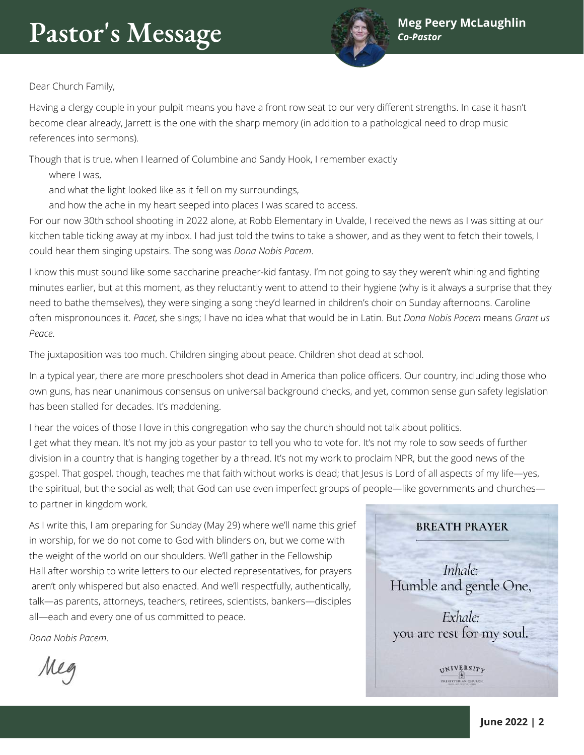

Dear Church Family,

Having a clergy couple in your pulpit means you have a front row seat to our very different strengths. In case it hasn't become clear already, Jarrett is the one with the sharp memory (in addition to a pathological need to drop music references into sermons).

Though that is true, when I learned of Columbine and Sandy Hook, I remember exactly

where I was,

and what the light looked like as it fell on my surroundings,

and how the ache in my heart seeped into places I was scared to access.

For our now 30th school shooting in 2022 alone, at Robb Elementary in Uvalde, I received the news as I was sitting at our kitchen table ticking away at my inbox. I had just told the twins to take a shower, and as they went to fetch their towels, I could hear them singing upstairs. The song was *Dona Nobis Pacem*.

I know this must sound like some saccharine preacher-kid fantasy. I'm not going to say they weren't whining and fighting minutes earlier, but at this moment, as they reluctantly went to attend to their hygiene (why is it always a surprise that they need to bathe themselves), they were singing a song they'd learned in children's choir on Sunday afternoons. Caroline often mispronounces it. *Pacet*, she sings; I have no idea what that would be in Latin. But *Dona Nobis Pacem* means *Grant us Peace*.

The juxtaposition was too much. Children singing about peace. Children shot dead at school.

In a typical year, there are more preschoolers shot dead in America than police officers. Our country, including those who own guns, has near unanimous consensus on universal background checks, and yet, common sense gun safety legislation has been stalled for decades. It's maddening.

I hear the voices of those I love in this congregation who say the church should not talk about politics. I get what they mean. It's not my job as your pastor to tell you who to vote for. It's not my role to sow seeds of further division in a country that is hanging together by a thread. It's not my work to proclaim NPR, but the good news of the gospel. That gospel, though, teaches me that faith without works is dead; that Jesus is Lord of all aspects of my life—yes, the spiritual, but the social as well; that God can use even imperfect groups of people—like governments and churches to partner in kingdom work.

As I write this, I am preparing for Sunday (May 29) where we'll name this grief in worship, for we do not come to God with blinders on, but we come with the weight of the world on our shoulders. We'll gather in the Fellowship Hall after worship to write letters to our elected representatives, for prayers aren't only whispered but also enacted. And we'll respectfully, authentically, talk—as parents, attorneys, teachers, retirees, scientists, bankers—disciples all—each and every one of us committed to peace.

*Dona Nobis Pacem*.

Me

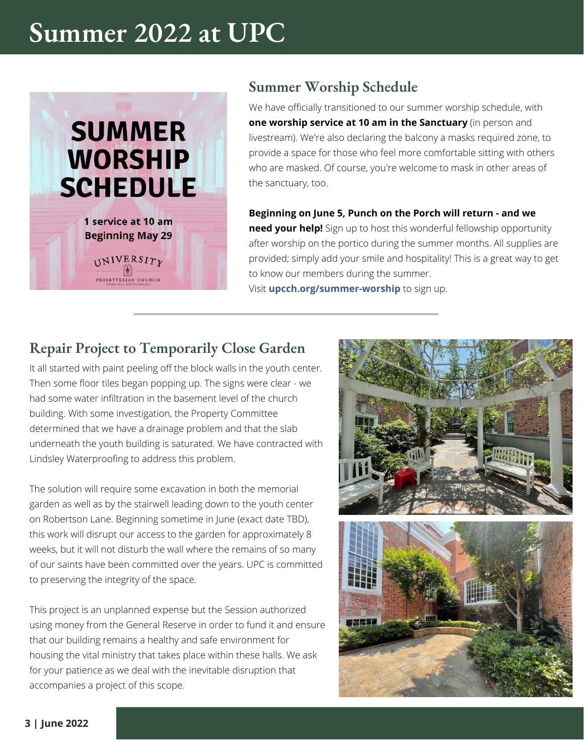### **Summer 2022 at UPC**



#### **Summer Worship Schedule**

We have officially transitioned to our summer worship schedule, with **one worship service at 10 am in the Sanctuary** (in person and livestream). We're also declaring the balcony a masks required zone, to provide a space for those who feel more comfortable sitting with others who are masked. Of course, you're welcome to mask in other areas of the sanctuary, too.

#### **Beginning on June 5, Punch on the Porch will return - and we**

**need your help!** Sign up to host this wonderful fellowship opportunity after worship on the portico during the summer months. All supplies are provided; simply add your smile and hospitality! This is a great way to get to know our members during the summer. Visit **[upcch.org/summer-worship](https://upcch.org/summer-worship)** to sign up.

#### **Repair Project to Temporarily Close Garden**

It all started with paint peeling off the block walls in the youth center. Then some floor tiles began popping up. The signs were clear - we had some water infiltration in the basement level of the church building. With some investigation, the Property Committee determined that we have a drainage problem and that the slab underneath the youth building is saturated. We have contracted with Lindsley Waterproofing to address this problem.

The solution will require some excavation in both the memorial garden as well as by the stairwell leading down to the youth center on Robertson Lane. Beginning sometime in June (exact date TBD), this work will disrupt our access to the garden for approximately 8 weeks, but it will not disturb the wall where the remains of so many of our saints have been committed over the years. UPC is committed to preserving the integrity of the space.

This project is an unplanned expense but the Session authorized using money from the General Reserve in order to fund it and ensure that our building remains a healthy and safe environment for housing the vital ministry that takes place within these halls. We ask for your patience as we deal with the inevitable disruption that accompanies a project of this scope.



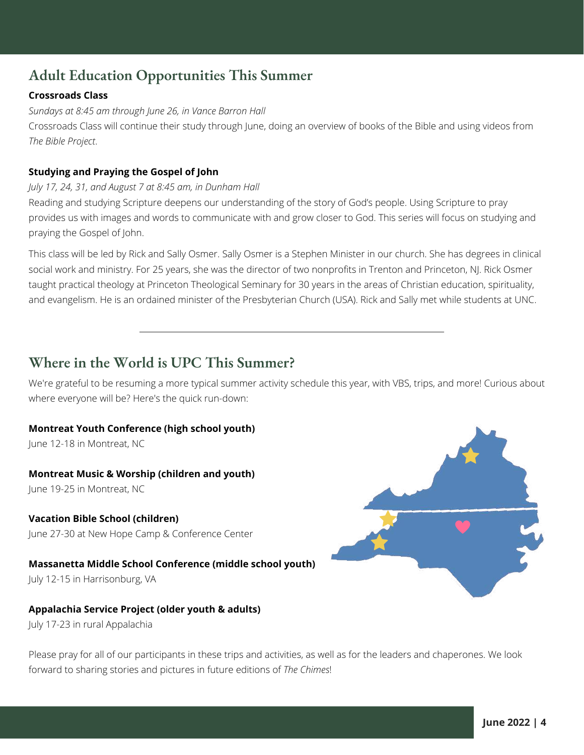#### **Adult Education Opportunities This Summer**

#### **Crossroads Class**

*Sundays at 8:45 am through June 26, in Vance Barron Hall*

Crossroads Class will continue their study through June, doing an overview of books of the Bible and using videos from *The Bible Project*.

#### **Studying and Praying the Gospel of John**

#### *July 17, 24, 31, and August 7 at 8:45 am, in Dunham Hall*

Reading and studying Scripture deepens our understanding of the story of God's people. Using Scripture to pray provides us with images and words to communicate with and grow closer to God. This series will focus on studying and praying the Gospel of John.

This class will be led by Rick and Sally Osmer. Sally Osmer is a Stephen Minister in our church. She has degrees in clinical social work and ministry. For 25 years, she was the director of two nonprofits in Trenton and Princeton, NJ. Rick Osmer taught practical theology at Princeton Theological Seminary for 30 years in the areas of Christian education, spirituality, and evangelism. He is an ordained minister of the Presbyterian Church (USA). Rick and Sally met while students at UNC.

#### **Where in the World is UPC This Summer?**

We're grateful to be resuming a more typical summer activity schedule this year, with VBS, trips, and more! Curious about where everyone will be? Here's the quick run-down:

#### **Montreat Youth Conference (high school youth)**

June 12-18 in Montreat, NC

#### **Montreat Music & Worship (children and youth)**

June 19-25 in Montreat, NC

#### **Vacation Bible School (children)**

June 27-30 at New Hope Camp & Conference Center

#### **Massanetta Middle School Conference (middle school youth)**

July 12-15 in Harrisonburg, VA

#### **Appalachia Service Project (older youth & adults)**

July 17-23 in rural Appalachia

Please pray for all of our participants in these trips and activities, as well as for the leaders and chaperones. We look forward to sharing stories and pictures in future editions of *The Chimes*!

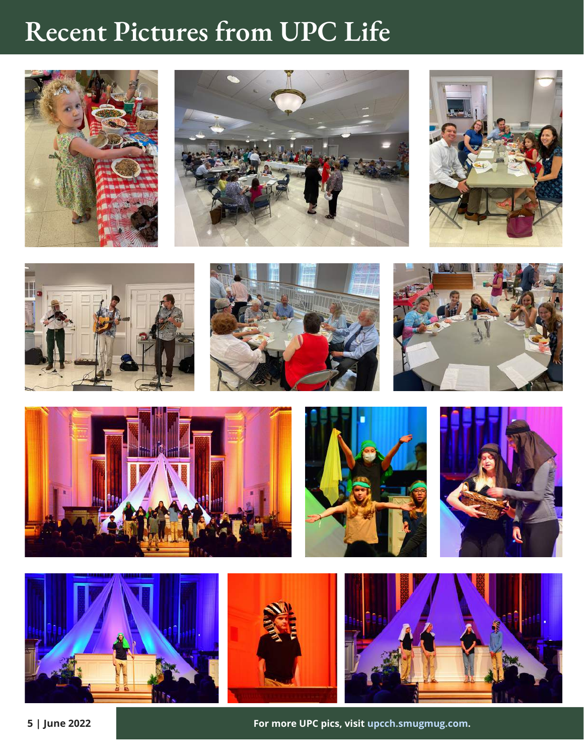### **Recent Pictures from UPC Life**













**For more UPC pics, visit [upcch.smugmug.com.](http://upcch.smugmug.com/)**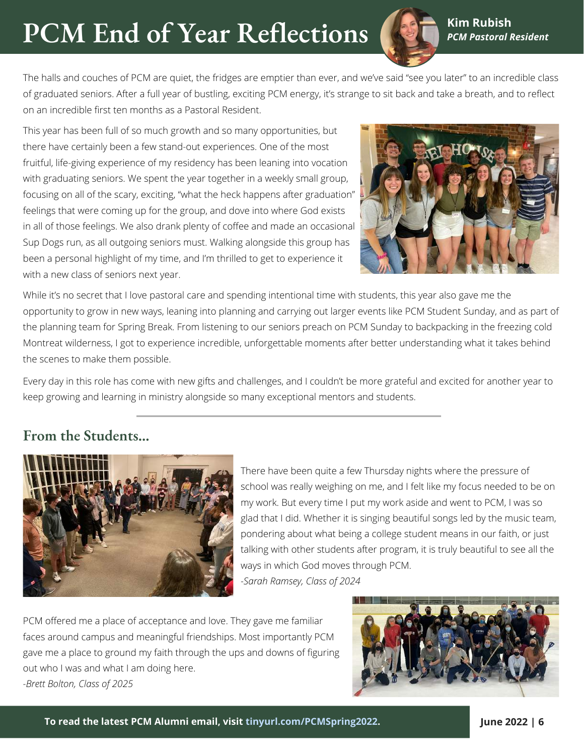### **PCM End of Year Reflections**



**Kim Rubish** *PCM Pastoral Resident*

The halls and couches of PCM are quiet, the fridges are emptier than ever, and we've said "see you later" to an incredible class of graduated seniors. After a full year of bustling, exciting PCM energy, it's strange to sit back and take a breath, and to reflect on an incredible first ten months as a Pastoral Resident.

This year has been full of so much growth and so many opportunities, but there have certainly been a few stand-out experiences. One of the most fruitful, life-giving experience of my residency has been leaning into vocation with graduating seniors. We spent the year together in a weekly small group, focusing on all of the scary, exciting, "what the heck happens after graduation" feelings that were coming up for the group, and dove into where God exists in all of those feelings. We also drank plenty of coffee and made an occasional Sup Dogs run, as all outgoing seniors must. Walking alongside this group has been a personal highlight of my time, and I'm thrilled to get to experience it with a new class of seniors next year.



While it's no secret that I love pastoral care and spending intentional time with students, this year also gave me the opportunity to grow in new ways, leaning into planning and carrying out larger events like PCM Student Sunday, and as part of the planning team for Spring Break. From listening to our seniors preach on PCM Sunday to backpacking in the freezing cold Montreat wilderness, I got to experience incredible, unforgettable moments after better understanding what it takes behind the scenes to make them possible.

Every day in this role has come with new gifts and challenges, and I couldn't be more grateful and excited for another year to keep growing and learning in ministry alongside so many exceptional mentors and students.

#### **From the Students...**



There have been quite a few Thursday nights where the pressure of school was really weighing on me, and I felt like my focus needed to be on my work. But every time I put my work aside and went to PCM, I was so glad that I did. Whether it is singing beautiful songs led by the music team, pondering about what being a college student means in our faith, or just talking with other students after program, it is truly beautiful to see all the ways in which God moves through PCM. *-Sarah Ramsey, Class of 2024*

PCM offered me a place of acceptance and love. They gave me familiar faces around campus and meaningful friendships. Most importantly PCM gave me a place to ground my faith through the ups and downs of figuring out who I was and what I am doing here. *-Brett Bolton, Class of 2025*